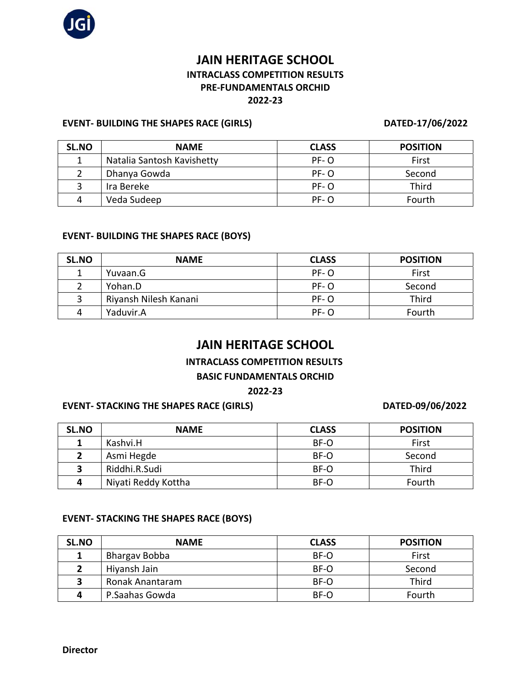

## **JAIN HERITAGE SCHOOL INTRACLASS COMPETITION RESULTS PRE-FUNDAMENTALS ORCHID 2022-23**

#### **EVENT- BUILDING THE SHAPES RACE (GIRLS) DATED-17/06/2022**

| SL.NO | <b>NAME</b>                | <b>CLASS</b> | <b>POSITION</b> |
|-------|----------------------------|--------------|-----------------|
|       | Natalia Santosh Kavishetty | $PF - O$     | First           |
|       | Dhanya Gowda               | $PF - O$     | Second          |
|       | Ira Bereke                 | $PF - O$     | Third           |
|       | Veda Sudeep                | $PF$ - $O$   | Fourth          |

#### **EVENT- BUILDING THE SHAPES RACE (BOYS)**

| SL.NO | <b>NAME</b>           | <b>CLASS</b> | <b>POSITION</b> |
|-------|-----------------------|--------------|-----------------|
|       | Yuvaan.G              | PF-O         | First           |
|       | Yohan.D               | PF-O         | Second          |
|       | Riyansh Nilesh Kanani | $PF$ - $O$   | Third           |
| 4     | Yaduvir.A             | $PF$ - O     | Fourth          |

## **JAIN HERITAGE SCHOOL**

#### **INTRACLASS COMPETITION RESULTS**

#### **BASIC FUNDAMENTALS ORCHID**

#### **2022-23**

#### **EVENT- STACKING THE SHAPES RACE (GIRLS) DATED-09/06/2022**

| SL.NO        | <b>NAME</b>         | <b>CLASS</b> | <b>POSITION</b> |
|--------------|---------------------|--------------|-----------------|
|              | Kashvi.H            | BF-O         | First           |
|              | Asmi Hegde          | BF-O         | Second          |
| $\mathbf{R}$ | Riddhi.R.Sudi       | BF-O         | Third           |
| Δ            | Niyati Reddy Kottha | BF-O         | Fourth          |

#### **EVENT- STACKING THE SHAPES RACE (BOYS)**

| SL.NO | <b>NAME</b>     | <b>CLASS</b> | <b>POSITION</b> |
|-------|-----------------|--------------|-----------------|
|       | Bhargav Bobba   | BF-O         | First           |
|       | Hiyansh Jain    | BF-O         | Second          |
|       | Ronak Anantaram | BF-O         | Third           |
|       | P.Saahas Gowda  | BF-O         | Fourth          |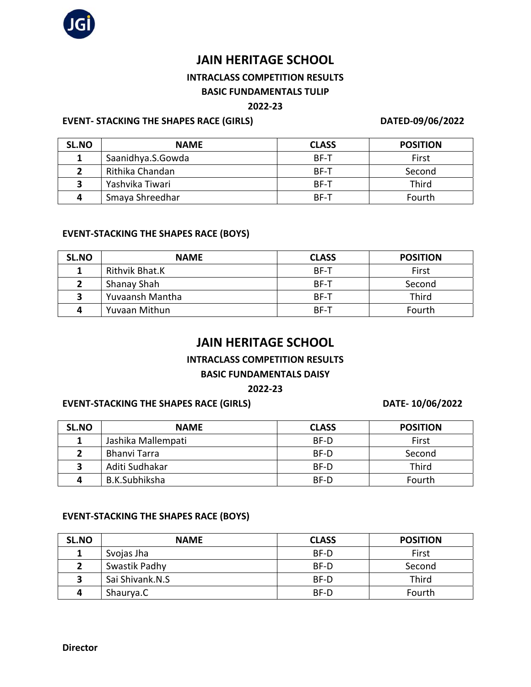

# **JAIN HERITAGE SCHOOL**

## **INTRACLASS COMPETITION RESULTS**

### **BASIC FUNDAMENTALS TULIP**

### **2022-23**

#### **EVENT- STACKING THE SHAPES RACE (GIRLS) DATED-09/06/2022**

| SL.NO | <b>NAME</b>       | <b>CLASS</b> | <b>POSITION</b> |
|-------|-------------------|--------------|-----------------|
|       | Saanidhya.S.Gowda | <b>BF-T</b>  | First           |
|       | Rithika Chandan   | BF-T         | Second          |
| ∍     | Yashvika Tiwari   | BF-T         | Third           |
| д     | Smaya Shreedhar   | <b>BF-T</b>  | Fourth          |

### **EVENT-STACKING THE SHAPES RACE (BOYS)**

| SL.NO | <b>NAME</b>     | <b>CLASS</b> | <b>POSITION</b> |
|-------|-----------------|--------------|-----------------|
|       | Rithvik Bhat.K  | BF-T         | First           |
|       | Shanay Shah     | <b>BF-T</b>  | Second          |
|       | Yuvaansh Mantha | BF-T         | Third           |
| Δ     | Yuvaan Mithun   | BF-T         | Fourth          |

## **JAIN HERITAGE SCHOOL**

#### **INTRACLASS COMPETITION RESULTS**

#### **BASIC FUNDAMENTALS DAISY**

#### **2022-23**

#### **EVENT-STACKING THE SHAPES RACE (GIRLS) DATE- 10/06/2022**

| SL.NO                   | <b>NAME</b>        | <b>CLASS</b> | <b>POSITION</b> |
|-------------------------|--------------------|--------------|-----------------|
|                         | Jashika Mallempati | BF-D         | First           |
|                         | Bhanvi Tarra       | BF-D         | Second          |
| $\overline{\mathbf{z}}$ | Aditi Sudhakar     | BF-D         | Third           |
| Д                       | B.K.Subhiksha      | BF-D         | Fourth          |

#### **EVENT-STACKING THE SHAPES RACE (BOYS)**

| SL.NO | <b>NAME</b>     | <b>CLASS</b> | <b>POSITION</b> |
|-------|-----------------|--------------|-----------------|
|       | Svojas Jha      | BF-D         | First           |
|       | Swastik Padhy   | BF-D         | Second          |
|       | Sai Shivank.N.S | BF-D         | Third           |
| д     | Shaurya.C       | BF-D         | Fourth          |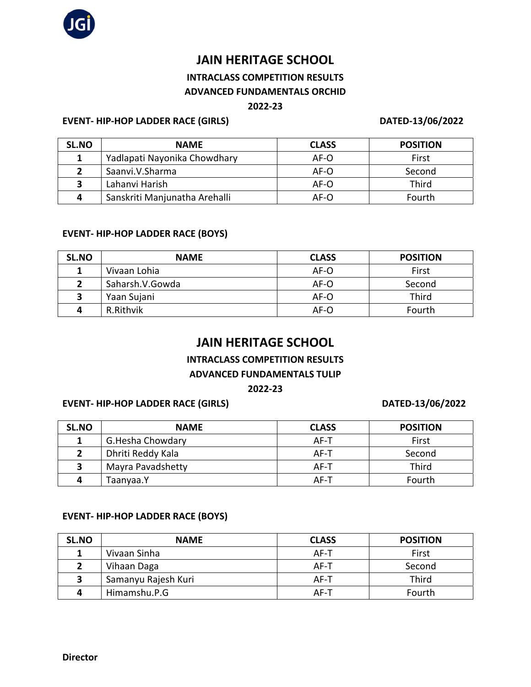

# **JAIN HERITAGE SCHOOL**

### **INTRACLASS COMPETITION RESULTS ADVANCED FUNDAMENTALS ORCHID**

#### **2022-23**

#### **EVENT- HIP-HOP LADDER RACE (GIRLS) DATED-13/06/2022**

| SL.NO | <b>NAME</b>                   | <b>CLASS</b> | <b>POSITION</b> |
|-------|-------------------------------|--------------|-----------------|
|       | Yadlapati Nayonika Chowdhary  | AF-O         | First           |
|       | Saanvi.V.Sharma               | AF-O         | Second          |
| 2     | Lahanvi Harish                | AF-O         | <b>Third</b>    |
| Δ     | Sanskriti Manjunatha Arehalli | AF-O         | Fourth          |

### **EVENT- HIP-HOP LADDER RACE (BOYS)**

| SL.NO | <b>NAME</b>     | <b>CLASS</b> | <b>POSITION</b> |
|-------|-----------------|--------------|-----------------|
| 1     | Vivaan Lohia    | AF-O         | First           |
|       | Saharsh.V.Gowda | AF-O         | Second          |
|       | Yaan Sujani     | AF-O         | Third           |
|       | R.Rithvik       | AF-O         | Fourth          |

## **JAIN HERITAGE SCHOOL**

### **INTRACLASS COMPETITION RESULTS**

### **ADVANCED FUNDAMENTALS TULIP**

### **2022-23**

### **EVENT- HIP-HOP LADDER RACE (GIRLS) DATED-13/06/2022**

| SL.NO | <b>NAME</b>       | <b>CLASS</b> | <b>POSITION</b> |
|-------|-------------------|--------------|-----------------|
|       | G.Hesha Chowdary  | AF-T         | First           |
|       | Dhriti Reddy Kala | AF-T         | Second          |
|       | Mayra Pavadshetty | AF-T         | Third           |
|       | Taanyaa.Y         | AF-T         | Fourth          |

#### **EVENT- HIP-HOP LADDER RACE (BOYS)**

| SL.NO | <b>NAME</b>         | <b>CLASS</b> | <b>POSITION</b> |
|-------|---------------------|--------------|-----------------|
|       | Vivaan Sinha        | AF-T         | First           |
|       | Vihaan Daga         | AF-T         | Second          |
|       | Samanyu Rajesh Kuri | AF-T         | Third           |
| Д     | Himamshu.P.G        | AF-T         | Fourth          |